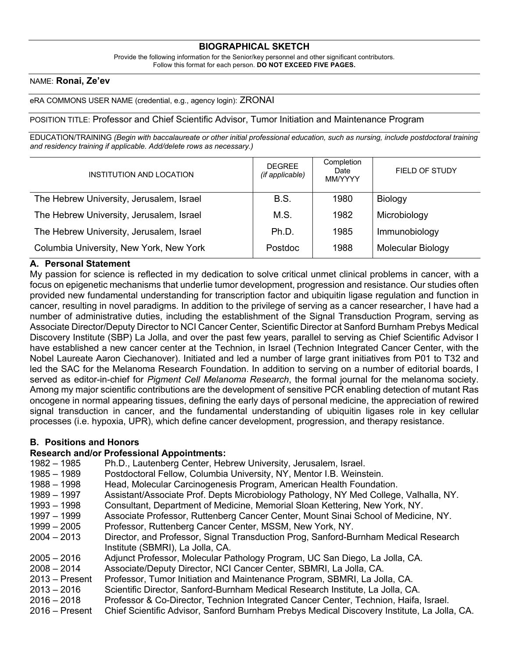# **BIOGRAPHICAL SKETCH**

Provide the following information for the Senior/key personnel and other significant contributors. Follow this format for each person. **DO NOT EXCEED FIVE PAGES.**

### NAME: **Ronai, Ze'ev**

#### eRA COMMONS USER NAME (credential, e.g., agency login): ZRONAI

#### POSITION TITLE: Professor and Chief Scientific Advisor, Tumor Initiation and Maintenance Program

EDUCATION/TRAINING (Begin with baccalaureate or other initial professional education, such as nursing, include postdoctoral training *and residency training if applicable. Add/delete rows as necessary.)*

| INSTITUTION AND LOCATION                 | <b>DEGREE</b><br>(if applicable) | Completion<br>Date<br>MM/YYYY | <b>FIELD OF STUDY</b>    |
|------------------------------------------|----------------------------------|-------------------------------|--------------------------|
| The Hebrew University, Jerusalem, Israel | <b>B.S.</b>                      | 1980                          | Biology                  |
| The Hebrew University, Jerusalem, Israel | M.S.                             | 1982                          | Microbiology             |
| The Hebrew University, Jerusalem, Israel | Ph.D.                            | 1985                          | Immunobiology            |
| Columbia University, New York, New York  | Postdoc                          | 1988                          | <b>Molecular Biology</b> |

### **A. Personal Statement**

My passion for science is reflected in my dedication to solve critical unmet clinical problems in cancer, with a focus on epigenetic mechanisms that underlie tumor development, progression and resistance. Our studies often provided new fundamental understanding for transcription factor and ubiquitin ligase regulation and function in cancer, resulting in novel paradigms. In addition to the privilege of serving as a cancer researcher, I have had a number of administrative duties, including the establishment of the Signal Transduction Program, serving as Associate Director/Deputy Director to NCI Cancer Center, Scientific Director at Sanford Burnham Prebys Medical Discovery Institute (SBP) La Jolla, and over the past few years, parallel to serving as Chief Scientific Advisor I have established a new cancer center at the Technion, in Israel (Technion Integrated Cancer Center, with the Nobel Laureate Aaron Ciechanover). Initiated and led a number of large grant initiatives from P01 to T32 and led the SAC for the Melanoma Research Foundation. In addition to serving on a number of editorial boards, I served as editor-in-chief for *Pigment Cell Melanoma Research*, the formal journal for the melanoma society. Among my major scientific contributions are the development of sensitive PCR enabling detection of mutant Ras oncogene in normal appearing tissues, defining the early days of personal medicine, the appreciation of rewired signal transduction in cancer, and the fundamental understanding of ubiquitin ligases role in key cellular processes (i.e. hypoxia, UPR), which define cancer development, progression, and therapy resistance.

### **B. Positions and Honors**

### **Research and/or Professional Appointments:**

| $1982 - 1985$    | Ph.D., Lautenberg Center, Hebrew University, Jerusalem, Israel.                             |
|------------------|---------------------------------------------------------------------------------------------|
| $1985 - 1989$    | Postdoctoral Fellow, Columbia University, NY, Mentor I.B. Weinstein.                        |
| $1988 - 1998$    | Head, Molecular Carcinogenesis Program, American Health Foundation.                         |
| 1989 – 1997      | Assistant/Associate Prof. Depts Microbiology Pathology, NY Med College, Valhalla, NY.       |
| $1993 - 1998$    | Consultant, Department of Medicine, Memorial Sloan Kettering, New York, NY.                 |
| 1997 – 1999      | Associate Professor, Ruttenberg Cancer Center, Mount Sinai School of Medicine, NY.          |
| $1999 - 2005$    | Professor, Ruttenberg Cancer Center, MSSM, New York, NY.                                    |
| $2004 - 2013$    | Director, and Professor, Signal Transduction Prog, Sanford-Burnham Medical Research         |
|                  | Institute (SBMRI), La Jolla, CA.                                                            |
| $2005 - 2016$    | Adjunct Professor, Molecular Pathology Program, UC San Diego, La Jolla, CA.                 |
| $2008 - 2014$    | Associate/Deputy Director, NCI Cancer Center, SBMRI, La Jolla, CA.                          |
| $2013 -$ Present | Professor, Tumor Initiation and Maintenance Program, SBMRI, La Jolla, CA.                   |
| $2013 - 2016$    | Scientific Director, Sanford-Burnham Medical Research Institute, La Jolla, CA.              |
| $2016 - 2018$    | Professor & Co-Director, Technion Integrated Cancer Center, Technion, Haifa, Israel.        |
| $2016 -$ Present | Chief Scientific Advisor, Sanford Burnham Prebys Medical Discovery Institute, La Jolla, CA. |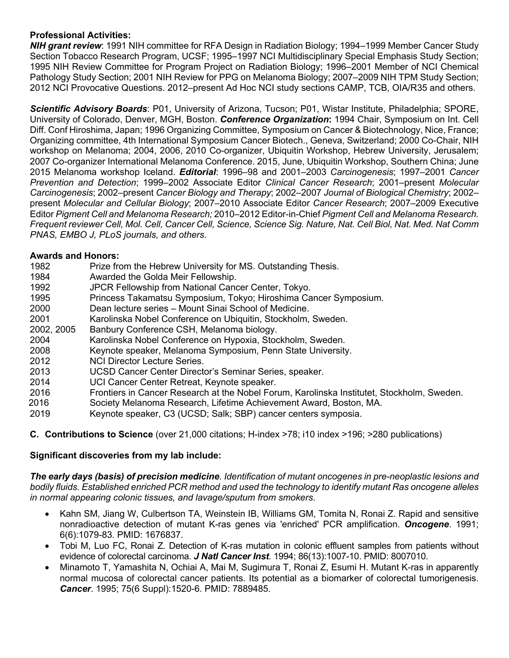# **Professional Activities:**

*NIH grant review*: 1991 NIH committee for RFA Design in Radiation Biology; 1994–1999 Member Cancer Study Section Tobacco Research Program, UCSF; 1995–1997 NCI Multidisciplinary Special Emphasis Study Section; 1995 NIH Review Committee for Program Project on Radiation Biology; 1996–2001 Member of NCI Chemical Pathology Study Section; 2001 NIH Review for PPG on Melanoma Biology; 2007–2009 NIH TPM Study Section; 2012 NCI Provocative Questions. 2012–present Ad Hoc NCI study sections CAMP, TCB, OIA/R35 and others.

*Scientific Advisory Boards*: P01, University of Arizona, Tucson; P01, Wistar Institute, Philadelphia; SPORE, University of Colorado, Denver, MGH, Boston. *Conference Organization***:** 1994 Chair, Symposium on Int. Cell Diff. Conf Hiroshima, Japan; 1996 Organizing Committee, Symposium on Cancer & Biotechnology, Nice, France; Organizing committee, 4th International Symposium Cancer Biotech., Geneva, Switzerland; 2000 Co-Chair, NIH workshop on Melanoma; 2004, 2006, 2010 Co-organizer, Ubiquitin Workshop, Hebrew University, Jerusalem; 2007 Co-organizer International Melanoma Conference. 2015, June, Ubiquitin Workshop, Southern China; June 2015 Melanoma workshop Iceland. *Editorial*: 1996–98 and 2001–2003 *Carcinogenesis*; 1997–2001 *Cancer Prevention and Detection*; 1999–2002 Associate Editor *Clinical Cancer Research*; 2001–present *Molecular Carcinogenesis*; 2002–present *Cancer Biology and Therapy*; 2002–2007 *Journal of Biological Chemistry*; 2002– present *Molecular and Cellular Biology*; 2007–2010 Associate Editor *Cancer Research*; 2007–2009 Executive Editor *Pigment Cell and Melanoma Research;* 2010–2012 Editor-in-Chief *Pigment Cell and Melanoma Research.* Frequent reviewer Cell, Mol. Cell, Cancer Cell, Science, Science Sig. Nature, Nat. Cell Biol, Nat. Med. Nat Comm *PNAS, EMBO J, PLoS journals, and others.*

# **Awards and Honors:**

- 1982 Prize from the Hebrew University for MS. Outstanding Thesis.
- 1984 Awarded the Golda Meir Fellowship.
- 1992 JPCR Fellowship from National Cancer Center, Tokyo.
- 1995 Princess Takamatsu Symposium, Tokyo; Hiroshima Cancer Symposium.
- 2000 Dean lecture series Mount Sinai School of Medicine.
- 2001 Karolinska Nobel Conference on Ubiquitin, Stockholm, Sweden.
- 2002, 2005 Banbury Conference CSH, Melanoma biology.
- 2004 Karolinska Nobel Conference on Hypoxia, Stockholm, Sweden.
- 2008 Keynote speaker, Melanoma Symposium, Penn State University.
- 
- 2012 **NCI Director Lecture Series.**<br>2013 **UCSD Cancer Center Direct** UCSD Cancer Center Director's Seminar Series, speaker.
- 2014 UCI Cancer Center Retreat, Keynote speaker.
- 2016 Frontiers in Cancer Research at the Nobel Forum, Karolinska Institutet, Stockholm, Sweden.
- 2016 Society Melanoma Research, Lifetime Achievement Award, Boston, MA.
- 2019 Keynote speaker, C3 (UCSD; Salk; SBP) cancer centers symposia.

**C. Contributions to Science** (over 21,000 citations; H-index >78; i10 index >196; >280 publications)

# **Significant discoveries from my lab include:**

*The early days (basis) of precision medicine. Identification of mutant oncogenes in pre-neoplastic lesions and bodily fluids. Established enriched PCR method and used the technology to identify mutant Ras oncogene alleles in normal appearing colonic tissues, and lavage/sputum from smokers*.

- Kahn SM, Jiang W, Culbertson TA, Weinstein IB, Williams GM, Tomita N, Ronai Z. Rapid and sensitive nonradioactive detection of mutant K-ras genes via 'enriched' PCR amplification. *Oncogene*. 1991; 6(6):1079-83. PMID: 1676837.
- Tobi M, Luo FC, Ronai Z. Detection of K-ras mutation in colonic effluent samples from patients without evidence of colorectal carcinoma. *J Natl Cancer Inst.* 1994; 86(13):1007-10. PMID: 8007010.
- Minamoto T, Yamashita N, Ochiai A, Mai M, Sugimura T, Ronai Z, Esumi H. Mutant K-ras in apparently normal mucosa of colorectal cancer patients. Its potential as a biomarker of colorectal tumorigenesis. *Cancer*. 1995; 75(6 Suppl):1520-6. PMID: 7889485.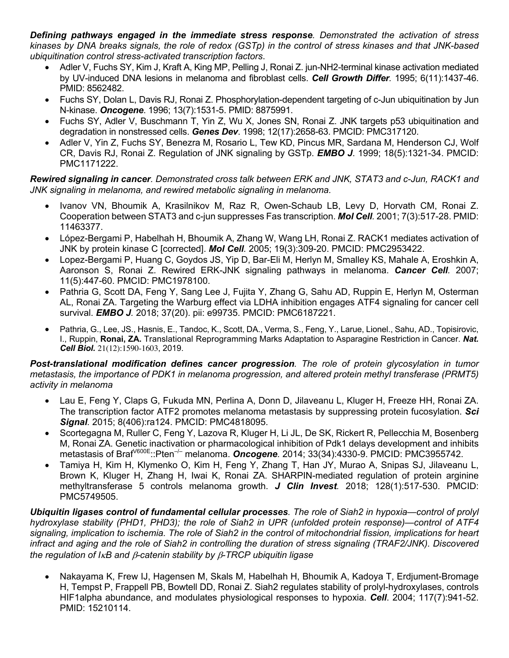*Defining pathways engaged in the immediate stress response. Demonstrated the activation of stress* kinases by DNA breaks signals, the role of redox (GSTp) in the control of stress kinases and that JNK-based *ubiquitination control stress-activated transcription factors*.

- Adler V, Fuchs SY, Kim J, Kraft A, King MP, Pelling J, Ronai Z. jun-NH2-terminal kinase activation mediated by UV-induced DNA lesions in melanoma and fibroblast cells. *Cell Growth Differ.* 1995; 6(11):1437-46. PMID: 8562482.
- Fuchs SY, Dolan L, Davis RJ, Ronai Z. Phosphorylation-dependent targeting of c-Jun ubiquitination by Jun N-kinase. *Oncogene*. 1996; 13(7):1531-5. PMID: 8875991.
- Fuchs SY, Adler V, Buschmann T, Yin Z, Wu X, Jones SN, Ronai Z. JNK targets p53 ubiquitination and degradation in nonstressed cells. *Genes Dev*. 1998; 12(17):2658-63. PMCID: PMC317120.
- Adler V, Yin Z, Fuchs SY, Benezra M, Rosario L, Tew KD, Pincus MR, Sardana M, Henderson CJ, Wolf CR, Davis RJ, Ronai Z. Regulation of JNK signaling by GSTp. *EMBO J*. 1999; 18(5):1321-34. PMCID: PMC1171222.

*Rewired signaling in cancer. Demonstrated cross talk between ERK and JNK, STAT3 and c-Jun, RACK1 and JNK signaling in melanoma, and rewired metabolic signaling in melanoma.*

- Ivanov VN, Bhoumik A, Krasilnikov M, Raz R, Owen-Schaub LB, Levy D, Horvath CM, Ronai Z. Cooperation between STAT3 and c-jun suppresses Fas transcription. *Mol Cell.* 2001; 7(3):517-28. PMID: 11463377.
- López-Bergami P, Habelhah H, Bhoumik A, Zhang W, Wang LH, Ronai Z. RACK1 mediates activation of JNK by protein kinase C [corrected]. *Mol Cell.* 2005; 19(3):309-20. PMCID: PMC2953422.
- Lopez-Bergami P, Huang C, Goydos JS, Yip D, Bar-Eli M, Herlyn M, Smalley KS, Mahale A, Eroshkin A, Aaronson S, Ronai Z. Rewired ERK-JNK signaling pathways in melanoma. *Cancer Cell.* 2007; 11(5):447-60. PMCID: PMC1978100.
- Pathria G, Scott DA, Feng Y, Sang Lee J, Fujita Y, Zhang G, Sahu AD, Ruppin E, Herlyn M, Osterman AL, Ronai ZA. Targeting the Warburg effect via LDHA inhibition engages ATF4 signaling for cancer cell survival. *EMBO J.* 2018; 37(20). pii: e99735. PMCID: PMC6187221.
- Pathria, G., Lee, JS., Hasnis, E., Tandoc, K., Scott, DA., Verma, S., Feng, Y., Larue, Lionel., Sahu, AD., Topisirovic, I., Ruppin, **Ronai, ZA.** Translational Reprogramming Marks Adaptation to Asparagine Restriction in Cancer. *Nat. Cell Biol.* 21(12):1590-1603, 2019.

*Post-translational modification defines cancer progression. The role of protein glycosylation in tumor metastasis, the importance of PDK1 in melanoma progression, and altered protein methyl transferase (PRMT5) activity in melanoma*

- Lau E, Feng Y, Claps G, Fukuda MN, Perlina A, Donn D, Jilaveanu L, Kluger H, Freeze HH, Ronai ZA. The transcription factor ATF2 promotes melanoma metastasis by suppressing protein fucosylation. *Sci Signal.* 2015; 8(406):ra124. PMCID: PMC4818095.
- Scortegagna M, Ruller C, Feng Y, Lazova R, Kluger H, Li JL, De SK, Rickert R, Pellecchia M, Bosenberg M, Ronai ZA. Genetic inactivation or pharmacological inhibition of Pdk1 delays development and inhibits metastasis of BrafV600E::Pten–/– melanoma. *Oncogene.* 2014; 33(34):4330-9. PMCID: PMC3955742.
- Tamiya H, Kim H, Klymenko O, Kim H, Feng Y, Zhang T, Han JY, Murao A, Snipas SJ, Jilaveanu L, Brown K, Kluger H, Zhang H, Iwai K, Ronai ZA. SHARPIN-mediated regulation of protein arginine methyltransferase 5 controls melanoma growth. *J Clin Invest.* 2018; 128(1):517-530. PMCID: PMC5749505.

*Ubiquitin ligases control of fundamental cellular processes. The role of Siah2 in hypoxia—control of prolyl hydroxylase stability (PHD1, PHD3); the role of Siah2 in UPR (unfolded protein response)—control of ATF4* signaling, implication to ischemia. The role of Siah2 in the control of mitochondrial fission, implications for heart infract and aging and the role of Siah2 in controlling the duration of stress signaling (TRAF2/JNK). Discovered *the regulation of I*k*B and* b*-catenin stability by* b*-TRCP ubiquitin ligase*

• Nakayama K, Frew IJ, Hagensen M, Skals M, Habelhah H, Bhoumik A, Kadoya T, Erdjument-Bromage H, Tempst P, Frappell PB, Bowtell DD, Ronai Z. Siah2 regulates stability of prolyl-hydroxylases, controls HIF1alpha abundance, and modulates physiological responses to hypoxia. *Cell*. 2004; 117(7):941-52. PMID: 15210114.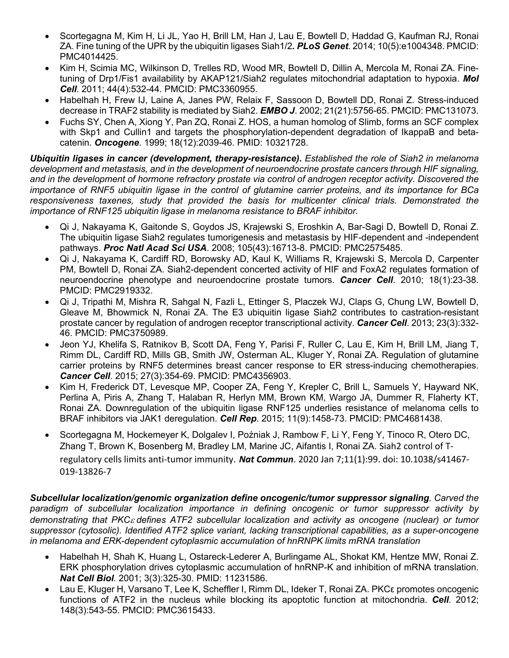- Scortegagna M, Kim H, Li JL, Yao H, Brill LM, Han J, Lau E, Bowtell D, Haddad G, Kaufman RJ, Ronai ZA. Fine tuning of the UPR by the ubiquitin ligases Siah1/2*. PLoS Genet*. 2014; 10(5):e1004348. PMCID: PMC4014425.
- Kim H, Scimia MC, Wilkinson D, Trelles RD, Wood MR, Bowtell D, Dillin A, Mercola M, Ronai ZA. Finetuning of Drp1/Fis1 availability by AKAP121/Siah2 regulates mitochondrial adaptation to hypoxia. *Mol Cell*. 2011; 44(4):532-44. PMCID: PMC3360955.
- Habelhah H, Frew IJ, Laine A, Janes PW, Relaix F, Sassoon D, Bowtell DD, Ronai Z. Stress-induced decrease in TRAF2 stability is mediated by Siah2. *EMBO J*. 2002; 21(21):5756-65. PMCID: PMC131073.
- Fuchs SY, Chen A, Xiong Y, Pan ZQ, Ronai Z. HOS, a human homolog of Slimb, forms an SCF complex with Skp1 and Cullin1 and targets the phosphorylation-dependent degradation of IkappaB and betacatenin. *Oncogene*. 1999; 18(12):2039-46. PMID: 10321728.

*Ubiquitin ligases in cancer (development, therapy-resistance)***.** *Established the role of Siah2 in melanoma development and metastasis, and in the development of neuroendocrine prostate cancers through HIF signaling, and in the development of hormone refractory prostate via control of androgen receptor activity. Discovered the* importance of RNF5 ubiquitin ligase in the control of glutamine carrier proteins, and its importance for BCa *responsiveness taxenes, study that provided the basis for multicenter clinical trials. Demonstrated the importance of RNF125 ubiquitin ligase in melanoma resistance to BRAF inhibitor.*

- Qi J, Nakayama K, Gaitonde S, Goydos JS, Krajewski S, Eroshkin A, Bar-Sagi D, Bowtell D, Ronai Z. The ubiquitin ligase Siah2 regulates tumorigenesis and metastasis by HIF-dependent and -independent pathways. *Proc Natl Acad Sci USA*. 2008; 105(43):16713-8. PMCID: PMC2575485.
- Qi J, Nakayama K, Cardiff RD, Borowsky AD, Kaul K, Williams R, Krajewski S, Mercola D, Carpenter PM, Bowtell D, Ronai ZA. Siah2-dependent concerted activity of HIF and FoxA2 regulates formation of neuroendocrine phenotype and neuroendocrine prostate tumors. *Cancer Cell*. 2010; 18(1):23-38. PMCID: PMC2919332.
- Qi J, Tripathi M, Mishra R, Sahgal N, Fazli L, Ettinger S, Placzek WJ, Claps G, Chung LW, Bowtell D, Gleave M, Bhowmick N, Ronai ZA. The E3 ubiquitin ligase Siah2 contributes to castration-resistant prostate cancer by regulation of androgen receptor transcriptional activity. *Cancer Cell*. 2013; 23(3):332- 46. PMCID: PMC3750989.
- Jeon YJ, Khelifa S, Ratnikov B, Scott DA, Feng Y, Parisi F, Ruller C, Lau E, Kim H, Brill LM, Jiang T, Rimm DL, Cardiff RD, Mills GB, Smith JW, Osterman AL, Kluger Y, Ronai ZA. Regulation of glutamine carrier proteins by RNF5 determines breast cancer response to ER stress-inducing chemotherapies. *Cancer Cell*. 2015; 27(3):354-69. PMCID: PMC4356903.
- Kim H, Frederick DT, Levesque MP, Cooper ZA, Feng Y, Krepler C, Brill L, Samuels Y, Hayward NK, Perlina A, Piris A, Zhang T, Halaban R, Herlyn MM, Brown KM, Wargo JA, Dummer R, Flaherty KT, Ronai ZA. Downregulation of the ubiquitin ligase RNF125 underlies resistance of melanoma cells to BRAF inhibitors via JAK1 deregulation. *Cell Rep*. 2015; 11(9):1458-73. PMCID: PMC4681438.
- Scortegagna M, Hockemeyer K, Dolgalev I, Poźniak J, Rambow F, Li Y, Feng Y, Tinoco R, Otero DC, Zhang T, Brown K, Bosenberg M, Bradley LM, Marine JC, Aifantis I, Ronai ZA. Siah2 control of Tregulatory cells limits anti-tumor immunity. *Nat Commun*. 2020 Jan 7;11(1):99. doi: 10.1038/s41467- 019-13826-7

*Subcellular localization/genomic organization define oncogenic/tumor suppressor signaling. Carved the paradigm of subcellular localization importance in defining oncogenic or tumor suppressor activity by demonstrating that PKC*<sup>e</sup> *defines ATF2 subcellular localization and activity as oncogene (nuclear) or tumor suppressor (cytosolic). Identified ATF2 splice variant, lacking transcriptional capabilities, as a super-oncogene in melanoma and ERK-dependent cytoplasmic accumulation of hnRNPK limits mRNA translation*

- Habelhah H, Shah K, Huang L, Ostareck-Lederer A, Burlingame AL, Shokat KM, Hentze MW, Ronai Z. ERK phosphorylation drives cytoplasmic accumulation of hnRNP-K and inhibition of mRNA translation. *Nat Cell Biol.* 2001; 3(3):325-30. PMID: 11231586.
- Lau E, Kluger H, Varsano T, Lee K, Scheffler I, Rimm DL, Ideker T, Ronai ZA. PKCε promotes oncogenic functions of ATF2 in the nucleus while blocking its apoptotic function at mitochondria. *Cell.* 2012; 148(3):543-55. PMCID: PMC3615433.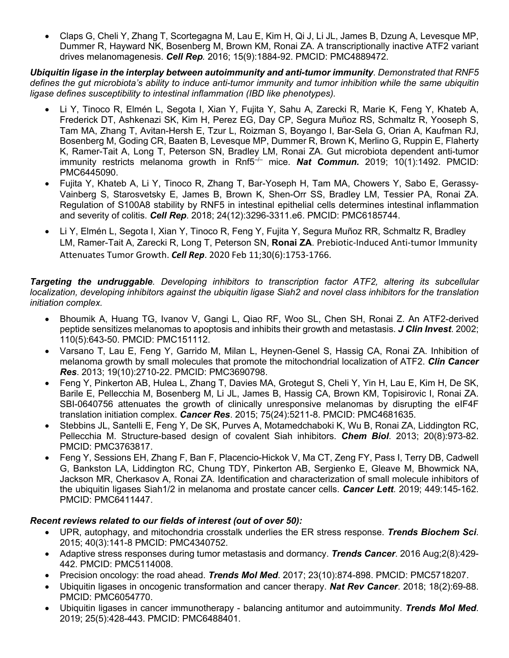• Claps G, Cheli Y, Zhang T, Scortegagna M, Lau E, Kim H, Qi J, Li JL, James B, Dzung A, Levesque MP, Dummer R, Hayward NK, Bosenberg M, Brown KM, Ronai ZA. A transcriptionally inactive ATF2 variant drives melanomagenesis. *Cell Rep.* 2016; 15(9):1884-92. PMCID: PMC4889472.

*Ubiquitin ligase in the interplay between autoimmunity and anti-tumor immunity. Demonstrated that RNF5 defines the gut microbiota's ability to induce anti-tumor immunity and tumor inhibition while the same ubiquitin ligase defines susceptibility to intestinal inflammation (IBD like phenotypes).*

- Li Y, Tinoco R, Elmén L, Segota I, Xian Y, Fujita Y, Sahu A, Zarecki R, Marie K, Feng Y, Khateb A, Frederick DT, Ashkenazi SK, Kim H, Perez EG, Day CP, Segura Muñoz RS, Schmaltz R, Yooseph S, Tam MA, Zhang T, Avitan-Hersh E, Tzur L, Roizman S, Boyango I, Bar-Sela G, Orian A, Kaufman RJ, Bosenberg M, Goding CR, Baaten B, Levesque MP, Dummer R, Brown K, Merlino G, Ruppin E, Flaherty K, Ramer-Tait A, Long T, Peterson SN, Bradley LM, Ronai ZA. Gut microbiota dependent anti-tumor immunity restricts melanoma growth in Rnf5<sup>-/-</sup> mice. **Nat Commun.** 2019; 10(1):1492. PMCID: PMC6445090.
- Fujita Y, Khateb A, Li Y, Tinoco R, Zhang T, Bar-Yoseph H, Tam MA, Chowers Y, Sabo E, Gerassy-Vainberg S, Starosvetsky E, James B, Brown K, Shen-Orr SS, Bradley LM, Tessier PA, Ronai ZA. Regulation of S100A8 stability by RNF5 in intestinal epithelial cells determines intestinal inflammation and severity of colitis. *Cell Rep*. 2018; 24(12):3296-3311.e6. PMCID: PMC6185744.
- Li Y, Elmén L, Segota I, Xian Y, Tinoco R, Feng Y, Fujita Y, Segura Muñoz RR, Schmaltz R, Bradley LM, Ramer-Tait A, Zarecki R, Long T, Peterson SN, **Ronai ZA**. Prebiotic-Induced Anti-tumor Immunity Attenuates Tumor Growth. *Cell Rep*. 2020 Feb 11;30(6):1753-1766.

# *Targeting the undruggable. Developing inhibitors to transcription factor ATF2, altering its subcellular localization, developing inhibitors against the ubiquitin ligase Siah2 and novel class inhibitors for the translation initiation complex.*

- Bhoumik A, Huang TG, Ivanov V, Gangi L, Qiao RF, Woo SL, Chen SH, Ronai Z. An ATF2-derived peptide sensitizes melanomas to apoptosis and inhibits their growth and metastasis. *J Clin Invest*. 2002; 110(5):643-50. PMCID: PMC151112.
- Varsano T, Lau E, Feng Y, Garrido M, Milan L, Heynen-Genel S, Hassig CA, Ronai ZA. Inhibition of melanoma growth by small molecules that promote the mitochondrial localization of ATF2. *Clin Cancer Res*. 2013; 19(10):2710-22. PMCID: PMC3690798.
- Feng Y, Pinkerton AB, Hulea L, Zhang T, Davies MA, Grotegut S, Cheli Y, Yin H, Lau E, Kim H, De SK, Barile E, Pellecchia M, Bosenberg M, Li JL, James B, Hassig CA, Brown KM, Topisirovic I, Ronai ZA. SBI-0640756 attenuates the growth of clinically unresponsive melanomas by disrupting the eIF4F translation initiation complex. *Cancer Res*. 2015; 75(24):5211-8. PMCID: PMC4681635.
- Stebbins JL, Santelli E, Feng Y, De SK, Purves A, Motamedchaboki K, Wu B, Ronai ZA, Liddington RC, Pellecchia M. Structure-based design of covalent Siah inhibitors. *Chem Biol*. 2013; 20(8):973-82. PMCID: PMC3763817.
- Feng Y, Sessions EH, Zhang F, Ban F, Placencio-Hickok V, Ma CT, Zeng FY, Pass I, Terry DB, Cadwell G, Bankston LA, Liddington RC, Chung TDY, Pinkerton AB, Sergienko E, Gleave M, Bhowmick NA, Jackson MR, Cherkasov A, Ronai ZA. Identification and characterization of small molecule inhibitors of the ubiquitin ligases Siah1/2 in melanoma and prostate cancer cells. *Cancer Lett*. 2019; 449:145-162. PMCID: PMC6411447.

# *Recent reviews related to our fields of interest (out of over 50):*

- UPR, autophagy, and mitochondria crosstalk underlies the ER stress response. *Trends Biochem Sci*. 2015; 40(3):141-8 PMCID: PMC4340752.
- Adaptive stress responses during tumor metastasis and dormancy. *Trends Cancer*. 2016 Aug;2(8):429- 442. PMCID: PMC5114008.
- Precision oncology: the road ahead. *Trends Mol Med*. 2017; 23(10):874-898. PMCID: PMC5718207.
- Ubiquitin ligases in oncogenic transformation and cancer therapy. *Nat Rev Cancer*. 2018; 18(2):69-88. PMCID: PMC6054770.
- Ubiquitin ligases in cancer immunotherapy balancing antitumor and autoimmunity. *Trends Mol Med*. 2019; 25(5):428-443. PMCID: PMC6488401.